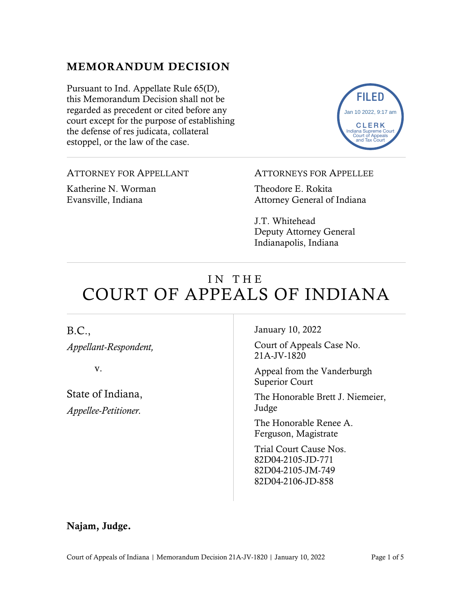## MEMORANDUM DECISION

Pursuant to Ind. Appellate Rule 65(D), this Memorandum Decision shall not be regarded as precedent or cited before any court except for the purpose of establishing the defense of res judicata, collateral estoppel, or the law of the case.

ATTORNEY FOR APPELLANT

Katherine N. Worman Evansville, Indiana

#### ATTORNEYS FOR APPELLEE

Theodore E. Rokita Attorney General of Indiana

J.T. Whitehead Deputy Attorney General Indianapolis, Indiana

# IN THE COURT OF APPEALS OF INDIANA

## B.C.,

*Appellant-Respondent,*

v.

State of Indiana, *Appellee-Petitioner.*

January 10, 2022

Court of Appeals Case No. 21A-JV-1820

Appeal from the Vanderburgh Superior Court

The Honorable Brett J. Niemeier, Judge

The Honorable Renee A. Ferguson, Magistrate

Trial Court Cause Nos. 82D04-2105-JD-771 82D04-2105-JM-749 82D04-2106-JD-858

### Najam, Judge.

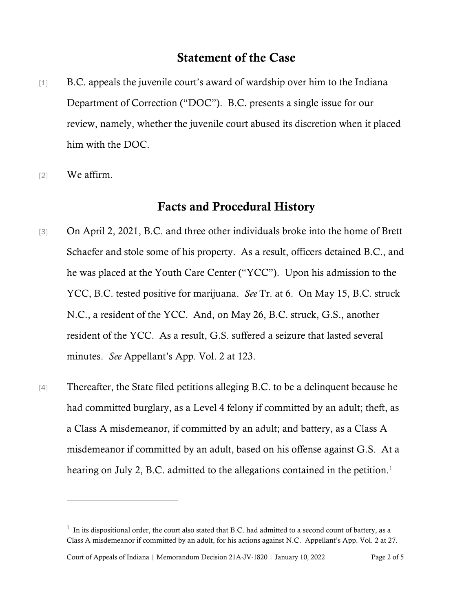## Statement of the Case

- [1] B.C. appeals the juvenile court's award of wardship over him to the Indiana Department of Correction ("DOC"). B.C. presents a single issue for our review, namely, whether the juvenile court abused its discretion when it placed him with the DOC.
- [2] We affirm.

## Facts and Procedural History

- [3] On April 2, 2021, B.C. and three other individuals broke into the home of Brett Schaefer and stole some of his property. As a result, officers detained B.C., and he was placed at the Youth Care Center ("YCC"). Upon his admission to the YCC, B.C. tested positive for marijuana. *See* Tr. at 6. On May 15, B.C. struck N.C., a resident of the YCC. And, on May 26, B.C. struck, G.S., another resident of the YCC. As a result, G.S. suffered a seizure that lasted several minutes. *See* Appellant's App. Vol. 2 at 123.
- [4] Thereafter, the State filed petitions alleging B.C. to be a delinquent because he had committed burglary, as a Level 4 felony if committed by an adult; theft, as a Class A misdemeanor, if committed by an adult; and battery, as a Class A misdemeanor if committed by an adult, based on his offense against G.S. At a hearing on July 2, B.C. admitted to the allegations contained in the petition.<sup>[1](#page-1-0)</sup>

Court of Appeals of Indiana | Memorandum Decision 21A-JV-1820 | January 10, 2022 Page 2 of 5

<span id="page-1-0"></span> $<sup>1</sup>$  In its dispositional order, the court also stated that B.C. had admitted to a second count of battery, as a</sup> Class A misdemeanor if committed by an adult, for his actions against N.C. Appellant's App. Vol. 2 at 27.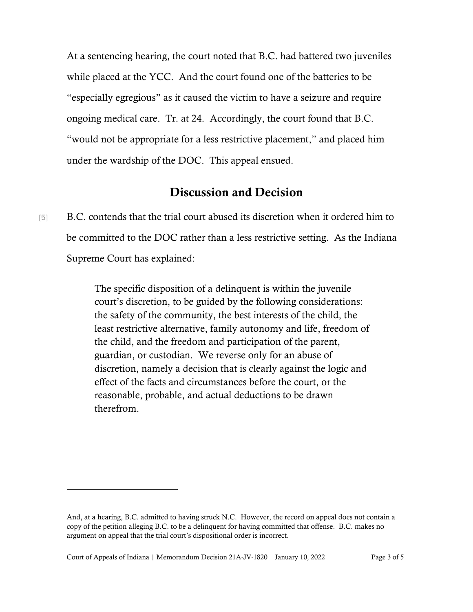At a sentencing hearing, the court noted that B.C. had battered two juveniles while placed at the YCC. And the court found one of the batteries to be "especially egregious" as it caused the victim to have a seizure and require ongoing medical care. Tr. at 24. Accordingly, the court found that B.C. "would not be appropriate for a less restrictive placement," and placed him under the wardship of the DOC. This appeal ensued.

## Discussion and Decision

[5] B.C. contends that the trial court abused its discretion when it ordered him to be committed to the DOC rather than a less restrictive setting. As the Indiana Supreme Court has explained:

> The specific disposition of a delinquent is within the juvenile court's discretion, to be guided by the following considerations: the safety of the community, the best interests of the child, the least restrictive alternative, family autonomy and life, freedom of the child, and the freedom and participation of the parent, guardian, or custodian. We reverse only for an abuse of discretion, namely a decision that is clearly against the logic and effect of the facts and circumstances before the court, or the reasonable, probable, and actual deductions to be drawn therefrom.

And, at a hearing, B.C. admitted to having struck N.C. However, the record on appeal does not contain a copy of the petition alleging B.C. to be a delinquent for having committed that offense. B.C. makes no argument on appeal that the trial court's dispositional order is incorrect.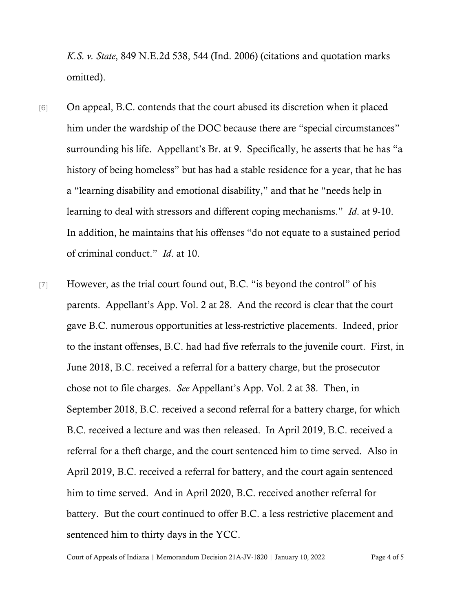*K.S. v. State*, 849 N.E.2d 538, 544 (Ind. 2006) (citations and quotation marks omitted).

- [6] On appeal, B.C. contends that the court abused its discretion when it placed him under the wardship of the DOC because there are "special circumstances" surrounding his life. Appellant's Br. at 9. Specifically, he asserts that he has "a history of being homeless" but has had a stable residence for a year, that he has a "learning disability and emotional disability," and that he "needs help in learning to deal with stressors and different coping mechanisms." *Id*. at 9-10. In addition, he maintains that his offenses "do not equate to a sustained period of criminal conduct." *Id*. at 10.
- [7] However, as the trial court found out, B.C. "is beyond the control" of his parents. Appellant's App. Vol. 2 at 28. And the record is clear that the court gave B.C. numerous opportunities at less-restrictive placements. Indeed, prior to the instant offenses, B.C. had had five referrals to the juvenile court. First, in June 2018, B.C. received a referral for a battery charge, but the prosecutor chose not to file charges. *See* Appellant's App. Vol. 2 at 38. Then, in September 2018, B.C. received a second referral for a battery charge, for which B.C. received a lecture and was then released. In April 2019, B.C. received a referral for a theft charge, and the court sentenced him to time served. Also in April 2019, B.C. received a referral for battery, and the court again sentenced him to time served. And in April 2020, B.C. received another referral for battery. But the court continued to offer B.C. a less restrictive placement and sentenced him to thirty days in the YCC.